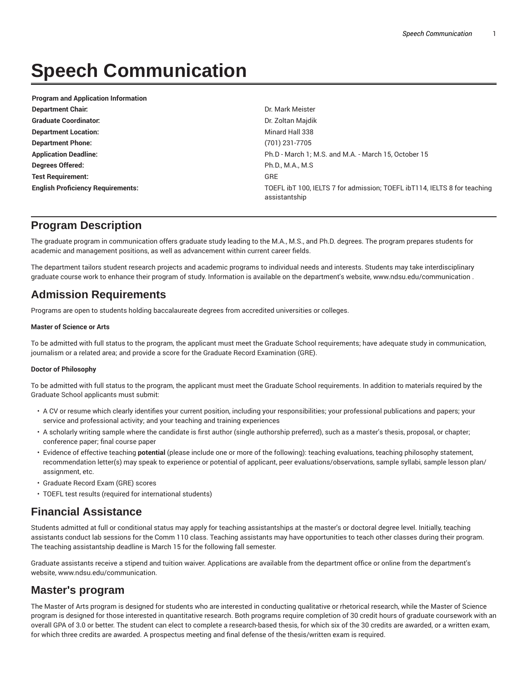# **Speech Communication**

| <b>Program and Application Information</b> |                                                                                           |
|--------------------------------------------|-------------------------------------------------------------------------------------------|
| <b>Department Chair:</b>                   | Dr. Mark Meister                                                                          |
| <b>Graduate Coordinator:</b>               | Dr. Zoltan Majdik                                                                         |
| <b>Department Location:</b>                | Minard Hall 338                                                                           |
| <b>Department Phone:</b>                   | (701) 231-7705                                                                            |
| <b>Application Deadline:</b>               | Ph.D - March 1; M.S. and M.A. - March 15, October 15                                      |
| Degrees Offered:                           | Ph.D., M.A., M.S.                                                                         |
| <b>Test Requirement:</b>                   | <b>GRE</b>                                                                                |
| <b>English Proficiency Requirements:</b>   | TOEFL ibT 100, IELTS 7 for admission; TOEFL ibT114, IELTS 8 for teaching<br>assistantship |

## **Program Description**

The graduate program in communication offers graduate study leading to the M.A., M.S., and Ph.D. degrees. The program prepares students for academic and management positions, as well as advancement within current career fields.

The department tailors student research projects and academic programs to individual needs and interests. Students may take interdisciplinary graduate course work to enhance their program of study. Information is available on the department's website, www.ndsu.edu/communication .

## **Admission Requirements**

Programs are open to students holding baccalaureate degrees from accredited universities or colleges.

#### **Master of Science or Arts**

To be admitted with full status to the program, the applicant must meet the Graduate School requirements; have adequate study in communication, journalism or a related area; and provide a score for the Graduate Record Examination (GRE).

#### **Doctor of Philosophy**

To be admitted with full status to the program, the applicant must meet the Graduate School requirements. In addition to materials required by the Graduate School applicants must submit:

- A CV or resume which clearly identifies your current position, including your responsibilities; your professional publications and papers; your service and professional activity; and your teaching and training experiences
- A scholarly writing sample where the candidate is first author (single authorship preferred), such as a master's thesis, proposal, or chapter; conference paper; final course paper
- Evidence of effective teaching **potential** (please include one or more of the following): teaching evaluations, teaching philosophy statement, recommendation letter(s) may speak to experience or potential of applicant, peer evaluations/observations, sample syllabi, sample lesson plan/ assignment, etc.
- Graduate Record Exam (GRE) scores
- TOEFL test results (required for international students)

## **Financial Assistance**

Students admitted at full or conditional status may apply for teaching assistantships at the master's or doctoral degree level. Initially, teaching assistants conduct lab sessions for the Comm 110 class. Teaching assistants may have opportunities to teach other classes during their program. The teaching assistantship deadline is March 15 for the following fall semester.

Graduate assistants receive a stipend and tuition waiver. Applications are available from the department office or online from the department's website, www.ndsu.edu/communication.

# **Master's program**

The Master of Arts program is designed for students who are interested in conducting qualitative or rhetorical research, while the Master of Science program is designed for those interested in quantitative research. Both programs require completion of 30 credit hours of graduate coursework with an overall GPA of 3.0 or better. The student can elect to complete a research-based thesis, for which six of the 30 credits are awarded, or a written exam, for which three credits are awarded. A prospectus meeting and final defense of the thesis/written exam is required.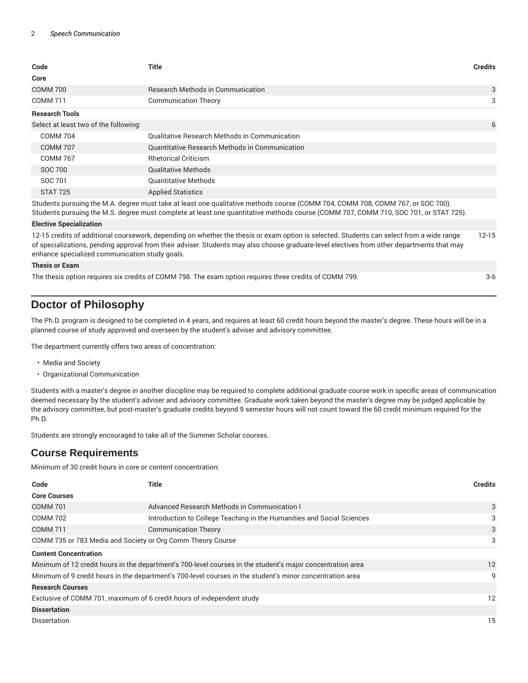| Code                                  | Title                                          | <b>Credits</b>                     |
|---------------------------------------|------------------------------------------------|------------------------------------|
| Core                                  |                                                |                                    |
| <b>COMM 700</b>                       | <b>Research Methods in Communication</b>       | 3                                  |
| <b>COMM 711</b>                       | <b>Communication Theory</b>                    | 3                                  |
| <b>Research Tools</b>                 |                                                |                                    |
| Select at least two of the following: |                                                | 6                                  |
| <b>COMM 704</b>                       | Qualitative Research Methods in Communication  |                                    |
| <b>COMM 707</b>                       | Quantitative Research Methods in Communication |                                    |
| <b>COMM 767</b>                       | <b>Rhetorical Criticism</b>                    |                                    |
| SOC 700                               | <b>Qualitative Methods</b>                     |                                    |
| SOC 701                               | <b>Quantitative Methods</b>                    |                                    |
| STAT 725                              | <b>Applied Statistics</b>                      |                                    |
| .<br>$\sim$ $\sim$ $\sim$             | $\cdots$                                       | $\sim$ $\sim$ $\sim$ $\sim$ $\sim$ |

Students pursuing the M.A. degree must take at least one qualitative methods course (COMM 704, COMM 708, COMM 767, or SOC 700).

Students pursuing the M.S. degree must complete at least one quantitative methods course (COMM 707, COMM 710, SOC 701, or STAT 725).

#### **Elective Specialization**

12-15 credits of additional coursework, depending on whether the thesis or exam option is selected. Students can select from a wide range of specializations, pending approval from their adviser. Students may also choose graduate-level electives from other departments that may enhance specialized communication study goals. 12-15

#### **Thesis or Exam**

The thesis option requires six credits of COMM 798. The exam option requires three credits of COMM 799. 3-6

## **Doctor of Philosophy**

The Ph.D. program is designed to be completed in 4 years, and requires at least 60 credit hours beyond the master's degree. These hours will be in a planned course of study approved and overseen by the student's adviser and advisory committee.

The department currently offers two areas of concentration:

- Media and Society
- Organizational Communication

Students with a master's degree in another discipline may be required to complete additional graduate course work in specific areas of communication deemed necessary by the student's adviser and advisory committee. Graduate work taken beyond the master's degree may be judged applicable by the advisory committee, but post-master's graduate credits beyond 9 semester hours will not count toward the 60 credit minimum required for the Ph.D.

Students are strongly encouraged to take all of the Summer Scholar courses.

### **Course Requirements**

Minimum of 30 credit hours in core or content concentration:

| Code                                                                                                       | <b>Title</b>                                                           | <b>Credits</b> |
|------------------------------------------------------------------------------------------------------------|------------------------------------------------------------------------|----------------|
| <b>Core Courses</b>                                                                                        |                                                                        |                |
| <b>COMM 701</b>                                                                                            | Advanced Research Methods in Communication I                           | 3              |
| <b>COMM 702</b>                                                                                            | Introduction to College Teaching in the Humanities and Social Sciences | 3              |
| <b>COMM 711</b>                                                                                            | <b>Communication Theory</b>                                            | 3              |
| COMM 735 or 783 Media and Society or Org Comm Theory Course                                                |                                                                        | 3              |
| <b>Content Concentration</b>                                                                               |                                                                        |                |
| Minimum of 12 credit hours in the department's 700-level courses in the student's major concentration area |                                                                        | 12             |
| Minimum of 9 credit hours in the department's 700-level courses in the student's minor concentration area  |                                                                        | 9              |
| <b>Research Courses</b>                                                                                    |                                                                        |                |
| Exclusive of COMM 701, maximum of 6 credit hours of independent study                                      |                                                                        | 12             |
| <b>Dissertation</b>                                                                                        |                                                                        |                |
| <b>Dissertation</b>                                                                                        |                                                                        | 15             |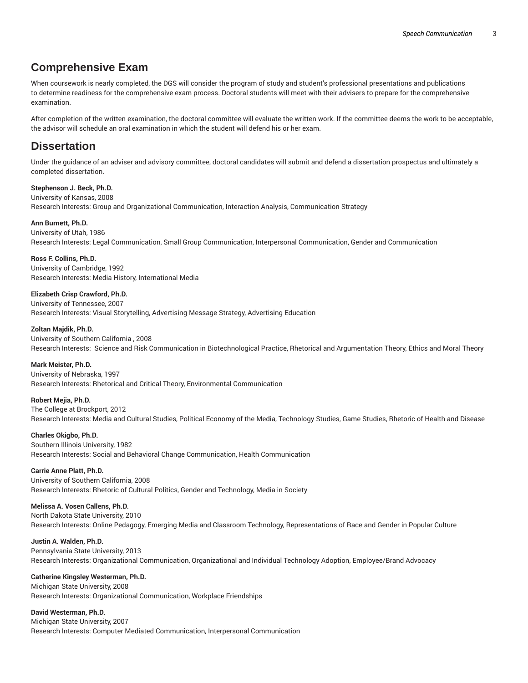## **Comprehensive Exam**

When coursework is nearly completed, the DGS will consider the program of study and student's professional presentations and publications to determine readiness for the comprehensive exam process. Doctoral students will meet with their advisers to prepare for the comprehensive examination.

After completion of the written examination, the doctoral committee will evaluate the written work. If the committee deems the work to be acceptable, the advisor will schedule an oral examination in which the student will defend his or her exam.

## **Dissertation**

Under the guidance of an adviser and advisory committee, doctoral candidates will submit and defend a dissertation prospectus and ultimately a completed dissertation.

## **Stephenson J. Beck, Ph.D.** University of Kansas, 2008

Research Interests: Group and Organizational Communication, Interaction Analysis, Communication Strategy

#### **Ann Burnett, Ph.D.**

University of Utah, 1986 Research Interests: Legal Communication, Small Group Communication, Interpersonal Communication, Gender and Communication

**Ross F. Collins, Ph.D.** University of Cambridge, 1992 Research Interests: Media History, International Media

#### **Elizabeth Crisp Crawford, Ph.D.**

University of Tennessee, 2007 Research Interests: Visual Storytelling, Advertising Message Strategy, Advertising Education

#### **Zoltan Majdik, Ph.D.**

University of Southern California , 2008 Research Interests: Science and Risk Communication in Biotechnological Practice, Rhetorical and Argumentation Theory, Ethics and Moral Theory

#### **Mark Meister, Ph.D.**

University of Nebraska, 1997 Research Interests: Rhetorical and Critical Theory, Environmental Communication

#### **Robert Mejia, Ph.D.**

The College at Brockport, 2012 Research Interests: Media and Cultural Studies, Political Economy of the Media, Technology Studies, Game Studies, Rhetoric of Health and Disease

#### **Charles Okigbo, Ph.D.**

Southern Illinois University, 1982 Research Interests: Social and Behavioral Change Communication, Health Communication

#### **Carrie Anne Platt, Ph.D.**

University of Southern California, 2008 Research Interests: Rhetoric of Cultural Politics, Gender and Technology, Media in Society

#### **Melissa A. Vosen Callens, Ph.D.**

North Dakota State University, 2010 Research Interests: Online Pedagogy, Emerging Media and Classroom Technology, Representations of Race and Gender in Popular Culture

#### **Justin A. Walden, Ph.D.**

Pennsylvania State University, 2013 Research Interests: Organizational Communication, Organizational and Individual Technology Adoption, Employee/Brand Advocacy

#### **Catherine Kingsley Westerman, Ph.D.**

Michigan State University, 2008 Research Interests: Organizational Communication, Workplace Friendships

#### **David Westerman, Ph.D.**

Michigan State University, 2007 Research Interests: Computer Mediated Communication, Interpersonal Communication